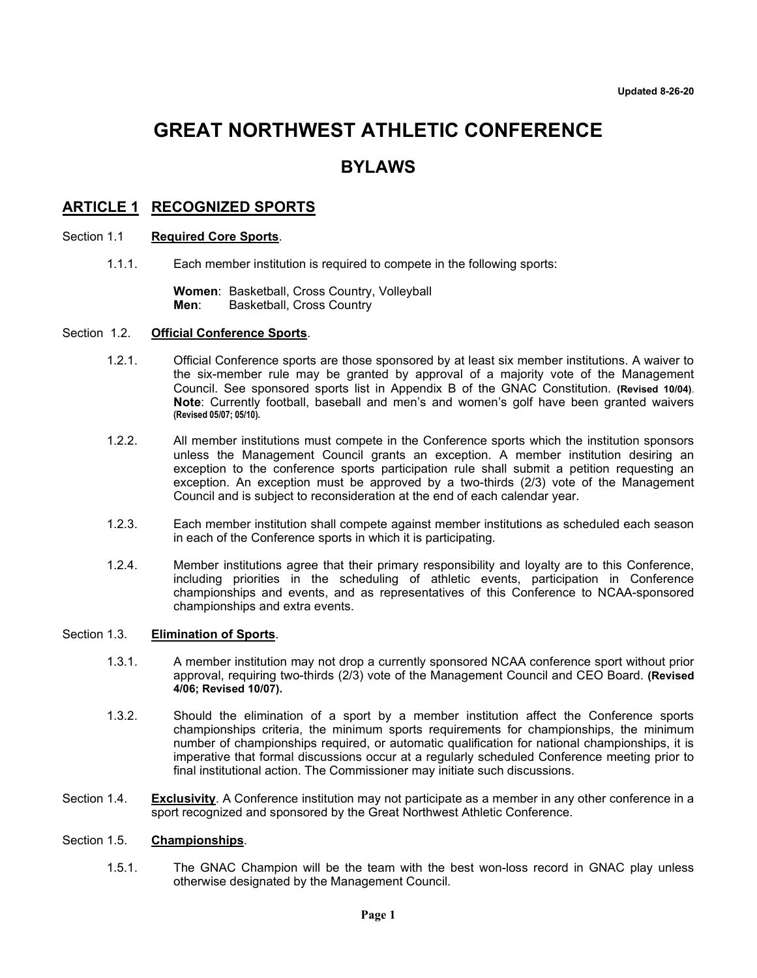# **GREAT NORTHWEST ATHLETIC CONFERENCE**

## **BYLAWS**

## **ARTICLE 1 RECOGNIZED SPORTS**

#### Section 1.1 **Required Core Sports**.

1.1.1. Each member institution is required to compete in the following sports:

**Women**: Basketball, Cross Country, Volleyball **Basketball, Cross Country** 

#### Section 1.2. **Official Conference Sports**.

- 1.2.1. Official Conference sports are those sponsored by at least six member institutions. A waiver to the six-member rule may be granted by approval of a majority vote of the Management Council. See sponsored sports list in Appendix B of the GNAC Constitution. **(Revised 10/04)**. **Note**: Currently football, baseball and men's and women's golf have been granted waivers **(Revised 05/07; 05/10).**
- 1.2.2. All member institutions must compete in the Conference sports which the institution sponsors unless the Management Council grants an exception. A member institution desiring an exception to the conference sports participation rule shall submit a petition requesting an exception. An exception must be approved by a two-thirds (2/3) vote of the Management Council and is subject to reconsideration at the end of each calendar year.
- 1.2.3. Each member institution shall compete against member institutions as scheduled each season in each of the Conference sports in which it is participating.
- 1.2.4. Member institutions agree that their primary responsibility and loyalty are to this Conference, including priorities in the scheduling of athletic events, participation in Conference championships and events, and as representatives of this Conference to NCAA-sponsored championships and extra events.

#### Section 1.3. **Elimination of Sports**.

- 1.3.1. A member institution may not drop a currently sponsored NCAA conference sport without prior approval, requiring two-thirds (2/3) vote of the Management Council and CEO Board. **(Revised 4/06; Revised 10/07).**
- 1.3.2. Should the elimination of a sport by a member institution affect the Conference sports championships criteria, the minimum sports requirements for championships, the minimum number of championships required, or automatic qualification for national championships, it is imperative that formal discussions occur at a regularly scheduled Conference meeting prior to final institutional action. The Commissioner may initiate such discussions.
- Section 1.4. **Exclusivity**. A Conference institution may not participate as a member in any other conference in a sport recognized and sponsored by the Great Northwest Athletic Conference.

#### Section 1.5. **Championships**.

1.5.1. The GNAC Champion will be the team with the best won-loss record in GNAC play unless otherwise designated by the Management Council.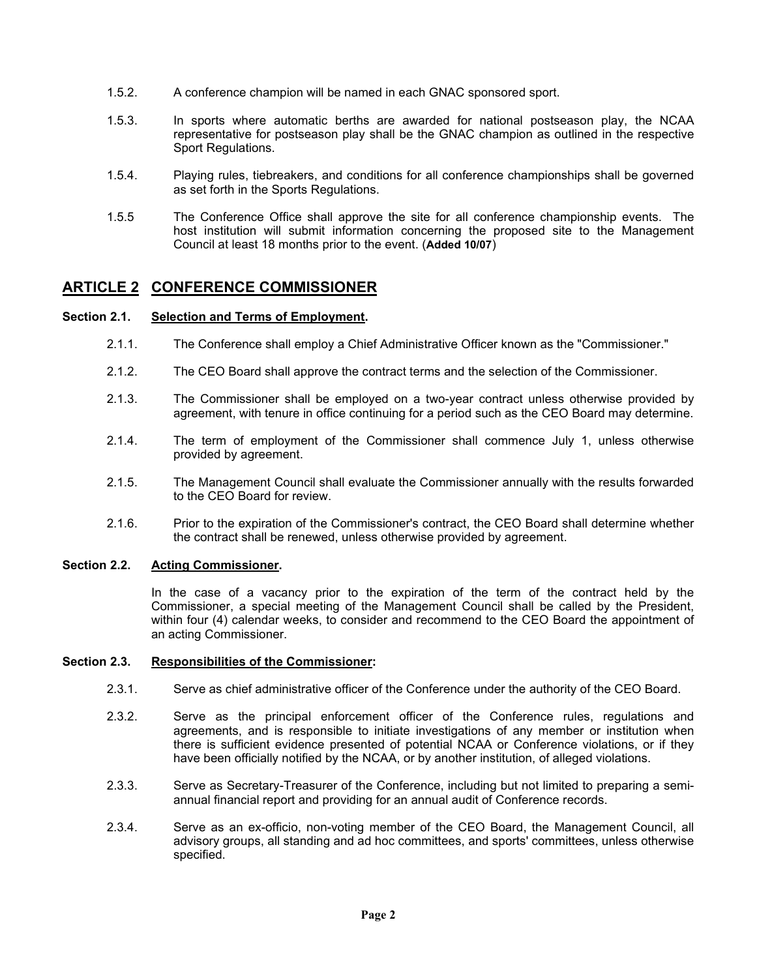- 1.5.2. A conference champion will be named in each GNAC sponsored sport.
- 1.5.3. In sports where automatic berths are awarded for national postseason play, the NCAA representative for postseason play shall be the GNAC champion as outlined in the respective Sport Regulations.
- 1.5.4. Playing rules, tiebreakers, and conditions for all conference championships shall be governed as set forth in the Sports Regulations.
- 1.5.5 The Conference Office shall approve the site for all conference championship events. The host institution will submit information concerning the proposed site to the Management Council at least 18 months prior to the event. (**Added 10/07**)

## **ARTICLE 2 CONFERENCE COMMISSIONER**

#### **Section 2.1. Selection and Terms of Employment.**

- 2.1.1. The Conference shall employ a Chief Administrative Officer known as the "Commissioner."
- 2.1.2. The CEO Board shall approve the contract terms and the selection of the Commissioner.
- 2.1.3. The Commissioner shall be employed on a two-year contract unless otherwise provided by agreement, with tenure in office continuing for a period such as the CEO Board may determine.
- 2.1.4. The term of employment of the Commissioner shall commence July 1, unless otherwise provided by agreement.
- 2.1.5. The Management Council shall evaluate the Commissioner annually with the results forwarded to the CEO Board for review.
- 2.1.6. Prior to the expiration of the Commissioner's contract, the CEO Board shall determine whether the contract shall be renewed, unless otherwise provided by agreement.

#### **Section 2.2. Acting Commissioner.**

In the case of a vacancy prior to the expiration of the term of the contract held by the Commissioner, a special meeting of the Management Council shall be called by the President, within four (4) calendar weeks, to consider and recommend to the CEO Board the appointment of an acting Commissioner.

#### **Section 2.3. Responsibilities of the Commissioner:**

- 2.3.1. Serve as chief administrative officer of the Conference under the authority of the CEO Board.
- 2.3.2. Serve as the principal enforcement officer of the Conference rules, regulations and agreements, and is responsible to initiate investigations of any member or institution when there is sufficient evidence presented of potential NCAA or Conference violations, or if they have been officially notified by the NCAA, or by another institution, of alleged violations.
- 2.3.3. Serve as Secretary-Treasurer of the Conference, including but not limited to preparing a semiannual financial report and providing for an annual audit of Conference records.
- 2.3.4. Serve as an ex-officio, non-voting member of the CEO Board, the Management Council, all advisory groups, all standing and ad hoc committees, and sports' committees, unless otherwise specified.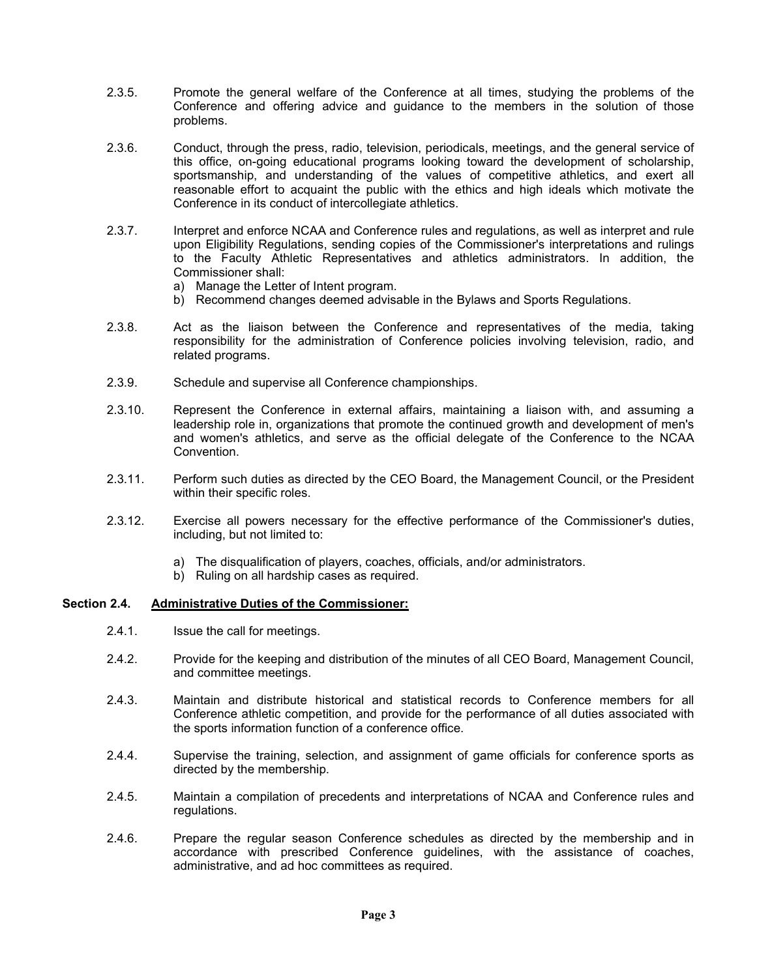- 2.3.5. Promote the general welfare of the Conference at all times, studying the problems of the Conference and offering advice and guidance to the members in the solution of those problems.
- 2.3.6. Conduct, through the press, radio, television, periodicals, meetings, and the general service of this office, on-going educational programs looking toward the development of scholarship, sportsmanship, and understanding of the values of competitive athletics, and exert all reasonable effort to acquaint the public with the ethics and high ideals which motivate the Conference in its conduct of intercollegiate athletics.
- 2.3.7. Interpret and enforce NCAA and Conference rules and regulations, as well as interpret and rule upon Eligibility Regulations, sending copies of the Commissioner's interpretations and rulings to the Faculty Athletic Representatives and athletics administrators. In addition, the Commissioner shall:
	- a) Manage the Letter of Intent program.
	- b) Recommend changes deemed advisable in the Bylaws and Sports Regulations.
- 2.3.8. Act as the liaison between the Conference and representatives of the media, taking responsibility for the administration of Conference policies involving television, radio, and related programs.
- 2.3.9. Schedule and supervise all Conference championships.
- 2.3.10. Represent the Conference in external affairs, maintaining a liaison with, and assuming a leadership role in, organizations that promote the continued growth and development of men's and women's athletics, and serve as the official delegate of the Conference to the NCAA **Convention**
- 2.3.11. Perform such duties as directed by the CEO Board, the Management Council, or the President within their specific roles.
- 2.3.12. Exercise all powers necessary for the effective performance of the Commissioner's duties, including, but not limited to:
	- a) The disqualification of players, coaches, officials, and/or administrators.
	- b) Ruling on all hardship cases as required.

#### **Section 2.4. Administrative Duties of the Commissioner:**

- 2.4.1. Issue the call for meetings.
- 2.4.2. Provide for the keeping and distribution of the minutes of all CEO Board, Management Council, and committee meetings.
- 2.4.3. Maintain and distribute historical and statistical records to Conference members for all Conference athletic competition, and provide for the performance of all duties associated with the sports information function of a conference office.
- 2.4.4. Supervise the training, selection, and assignment of game officials for conference sports as directed by the membership.
- 2.4.5. Maintain a compilation of precedents and interpretations of NCAA and Conference rules and regulations.
- 2.4.6. Prepare the regular season Conference schedules as directed by the membership and in accordance with prescribed Conference guidelines, with the assistance of coaches, administrative, and ad hoc committees as required.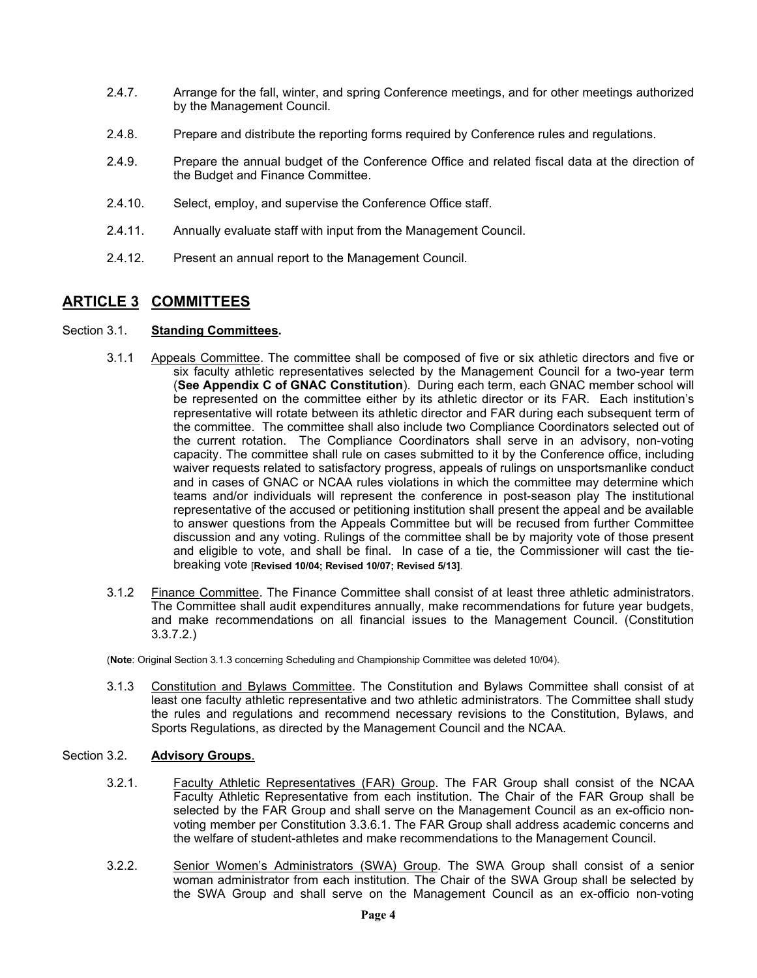- 2.4.7. Arrange for the fall, winter, and spring Conference meetings, and for other meetings authorized by the Management Council.
- 2.4.8. Prepare and distribute the reporting forms required by Conference rules and regulations.
- 2.4.9. Prepare the annual budget of the Conference Office and related fiscal data at the direction of the Budget and Finance Committee.
- 2.4.10. Select, employ, and supervise the Conference Office staff.
- 2.4.11. Annually evaluate staff with input from the Management Council.
- 2.4.12. Present an annual report to the Management Council.

## **ARTICLE 3 COMMITTEES**

#### Section 3.1. **Standing Committees.**

- 3.1.1 Appeals Committee. The committee shall be composed of five or six athletic directors and five or six faculty athletic representatives selected by the Management Council for a two-year term (**See Appendix C of GNAC Constitution**). During each term, each GNAC member school will be represented on the committee either by its athletic director or its FAR. Each institution's representative will rotate between its athletic director and FAR during each subsequent term of the committee. The committee shall also include two Compliance Coordinators selected out of the current rotation. The Compliance Coordinators shall serve in an advisory, non-voting capacity. The committee shall rule on cases submitted to it by the Conference office, including waiver requests related to satisfactory progress, appeals of rulings on unsportsmanlike conduct and in cases of GNAC or NCAA rules violations in which the committee may determine which teams and/or individuals will represent the conference in post-season play The institutional representative of the accused or petitioning institution shall present the appeal and be available to answer questions from the Appeals Committee but will be recused from further Committee discussion and any voting. Rulings of the committee shall be by majority vote of those present and eligible to vote, and shall be final. In case of a tie, the Commissioner will cast the tiebreaking vote [**Revised 10/04; Revised 10/07; Revised 5/13]**.
- 3.1.2 Finance Committee. The Finance Committee shall consist of at least three athletic administrators. The Committee shall audit expenditures annually, make recommendations for future year budgets, and make recommendations on all financial issues to the Management Council. (Constitution 3.3.7.2.)

(**Note**: Original Section 3.1.3 concerning Scheduling and Championship Committee was deleted 10/04).

3.1.3 Constitution and Bylaws Committee. The Constitution and Bylaws Committee shall consist of at least one faculty athletic representative and two athletic administrators. The Committee shall study the rules and regulations and recommend necessary revisions to the Constitution, Bylaws, and Sports Regulations, as directed by the Management Council and the NCAA.

### Section 3.2. **Advisory Groups**.

- 3.2.1. Faculty Athletic Representatives (FAR) Group. The FAR Group shall consist of the NCAA Faculty Athletic Representative from each institution. The Chair of the FAR Group shall be selected by the FAR Group and shall serve on the Management Council as an ex-officio nonvoting member per Constitution 3.3.6.1. The FAR Group shall address academic concerns and the welfare of student-athletes and make recommendations to the Management Council.
- 3.2.2. Senior Women's Administrators (SWA) Group. The SWA Group shall consist of a senior woman administrator from each institution. The Chair of the SWA Group shall be selected by the SWA Group and shall serve on the Management Council as an ex-officio non-voting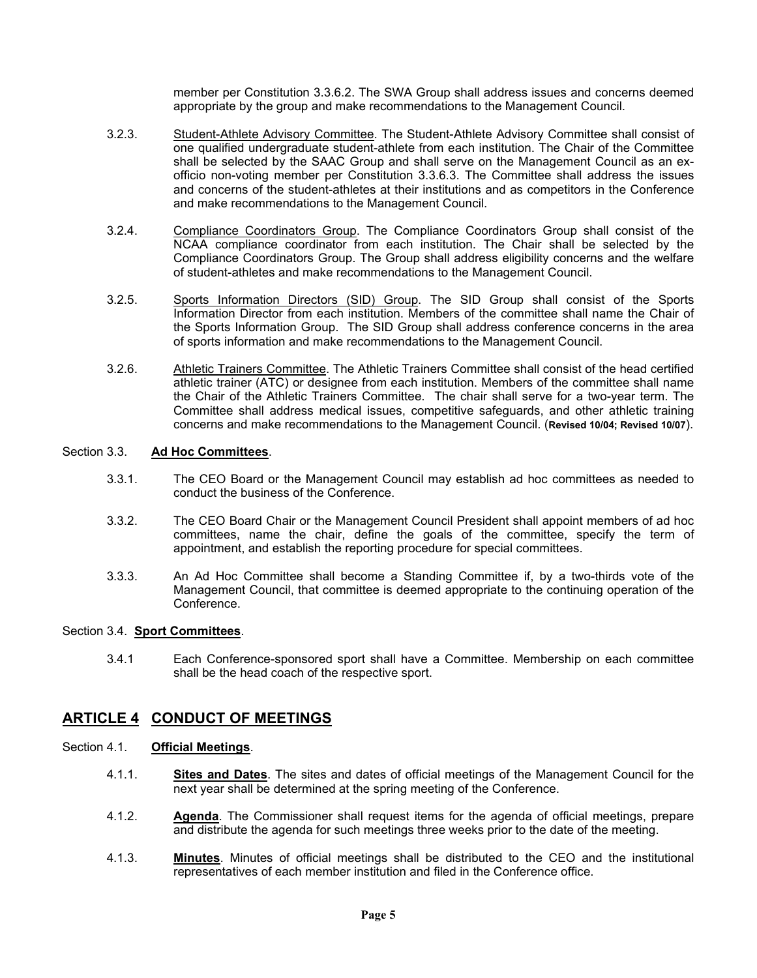member per Constitution 3.3.6.2. The SWA Group shall address issues and concerns deemed appropriate by the group and make recommendations to the Management Council.

- 3.2.3. Student-Athlete Advisory Committee. The Student-Athlete Advisory Committee shall consist of one qualified undergraduate student-athlete from each institution. The Chair of the Committee shall be selected by the SAAC Group and shall serve on the Management Council as an exofficio non-voting member per Constitution 3.3.6.3. The Committee shall address the issues and concerns of the student-athletes at their institutions and as competitors in the Conference and make recommendations to the Management Council.
- 3.2.4. Compliance Coordinators Group. The Compliance Coordinators Group shall consist of the NCAA compliance coordinator from each institution. The Chair shall be selected by the Compliance Coordinators Group. The Group shall address eligibility concerns and the welfare of student-athletes and make recommendations to the Management Council.
- 3.2.5. Sports Information Directors (SID) Group. The SID Group shall consist of the Sports Information Director from each institution. Members of the committee shall name the Chair of the Sports Information Group. The SID Group shall address conference concerns in the area of sports information and make recommendations to the Management Council.
- 3.2.6. Athletic Trainers Committee. The Athletic Trainers Committee shall consist of the head certified athletic trainer (ATC) or designee from each institution. Members of the committee shall name the Chair of the Athletic Trainers Committee. The chair shall serve for a two-year term. The Committee shall address medical issues, competitive safeguards, and other athletic training concerns and make recommendations to the Management Council. (**Revised 10/04; Revised 10/07**).

#### Section 3.3. **Ad Hoc Committees**.

- 3.3.1. The CEO Board or the Management Council may establish ad hoc committees as needed to conduct the business of the Conference.
- 3.3.2. The CEO Board Chair or the Management Council President shall appoint members of ad hoc committees, name the chair, define the goals of the committee, specify the term of appointment, and establish the reporting procedure for special committees.
- 3.3.3. An Ad Hoc Committee shall become a Standing Committee if, by a two-thirds vote of the Management Council, that committee is deemed appropriate to the continuing operation of the Conference.

#### Section 3.4. **Sport Committees**.

3.4.1 Each Conference-sponsored sport shall have a Committee. Membership on each committee shall be the head coach of the respective sport.

## **ARTICLE 4 CONDUCT OF MEETINGS**

#### Section 4.1. **Official Meetings**.

- 4.1.1. **Sites and Dates**. The sites and dates of official meetings of the Management Council for the next year shall be determined at the spring meeting of the Conference.
- 4.1.2. **Agenda**. The Commissioner shall request items for the agenda of official meetings, prepare and distribute the agenda for such meetings three weeks prior to the date of the meeting.
- 4.1.3. **Minutes**. Minutes of official meetings shall be distributed to the CEO and the institutional representatives of each member institution and filed in the Conference office.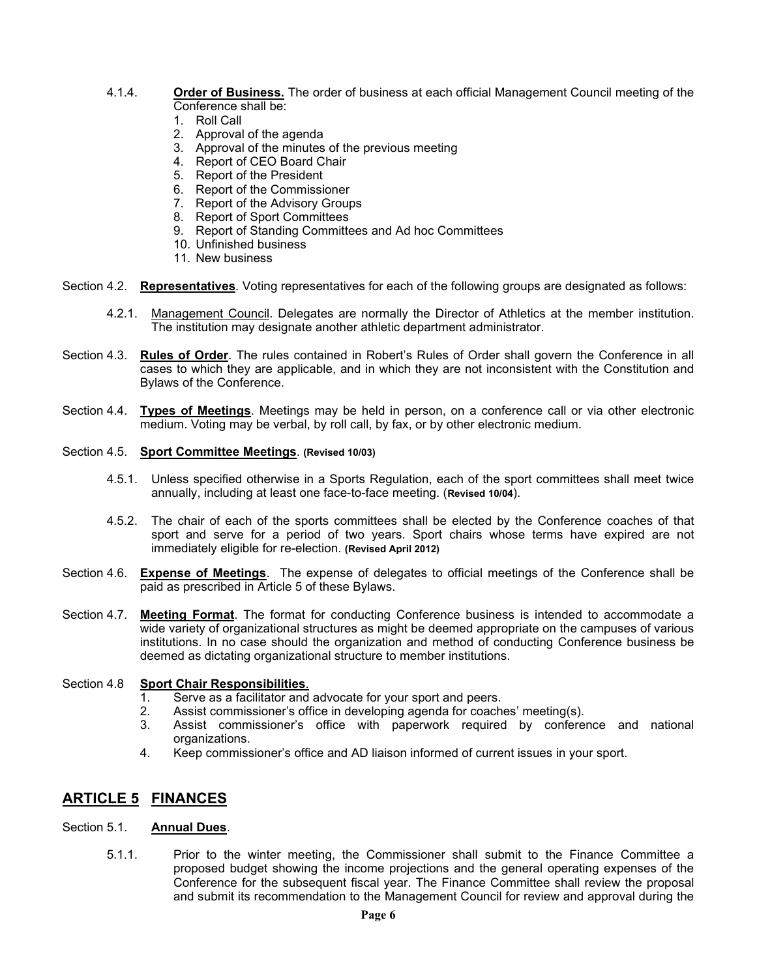- 4.1.4. **Order of Business.** The order of business at each official Management Council meeting of the Conference shall be:
	- 1. Roll Call
	- 2. Approval of the agenda
	- 3. Approval of the minutes of the previous meeting
	- 4. Report of CEO Board Chair
	- 5. Report of the President
	- 6. Report of the Commissioner
	- 7. Report of the Advisory Groups
	- 8. Report of Sport Committees
	- 9. Report of Standing Committees and Ad hoc Committees
	- 10. Unfinished business
	- 11. New business
- Section 4.2. **Representatives**. Voting representatives for each of the following groups are designated as follows:
	- 4.2.1. Management Council. Delegates are normally the Director of Athletics at the member institution. The institution may designate another athletic department administrator.
- Section 4.3. **Rules of Order**. The rules contained in Robert's Rules of Order shall govern the Conference in all cases to which they are applicable, and in which they are not inconsistent with the Constitution and Bylaws of the Conference.
- Section 4.4. **Types of Meetings**. Meetings may be held in person, on a conference call or via other electronic medium. Voting may be verbal, by roll call, by fax, or by other electronic medium.

#### Section 4.5. **Sport Committee Meetings**. **(Revised 10/03)**

- 4.5.1. Unless specified otherwise in a Sports Regulation, each of the sport committees shall meet twice annually, including at least one face-to-face meeting. (**Revised 10/04**).
- 4.5.2. The chair of each of the sports committees shall be elected by the Conference coaches of that sport and serve for a period of two years. Sport chairs whose terms have expired are not immediately eligible for re-election. **(Revised April 2012)**
- Section 4.6. **Expense of Meetings**. The expense of delegates to official meetings of the Conference shall be paid as prescribed in Article 5 of these Bylaws.
- Section 4.7. **Meeting Format**. The format for conducting Conference business is intended to accommodate a wide variety of organizational structures as might be deemed appropriate on the campuses of various institutions. In no case should the organization and method of conducting Conference business be deemed as dictating organizational structure to member institutions.

#### Section 4.8 **Sport Chair Responsibilities**.

- 1. Serve as a facilitator and advocate for your sport and peers.
- 2. Assist commissioner's office in developing agenda for coaches' meeting(s).<br>3. Assist commissioner's office with paperwork required by confere
- Assist commissioner's office with paperwork required by conference and national organizations.
- 4. Keep commissioner's office and AD liaison informed of current issues in your sport.

## **ARTICLE 5 FINANCES**

#### Section 5.1. **Annual Dues**.

5.1.1. Prior to the winter meeting, the Commissioner shall submit to the Finance Committee a proposed budget showing the income projections and the general operating expenses of the Conference for the subsequent fiscal year. The Finance Committee shall review the proposal and submit its recommendation to the Management Council for review and approval during the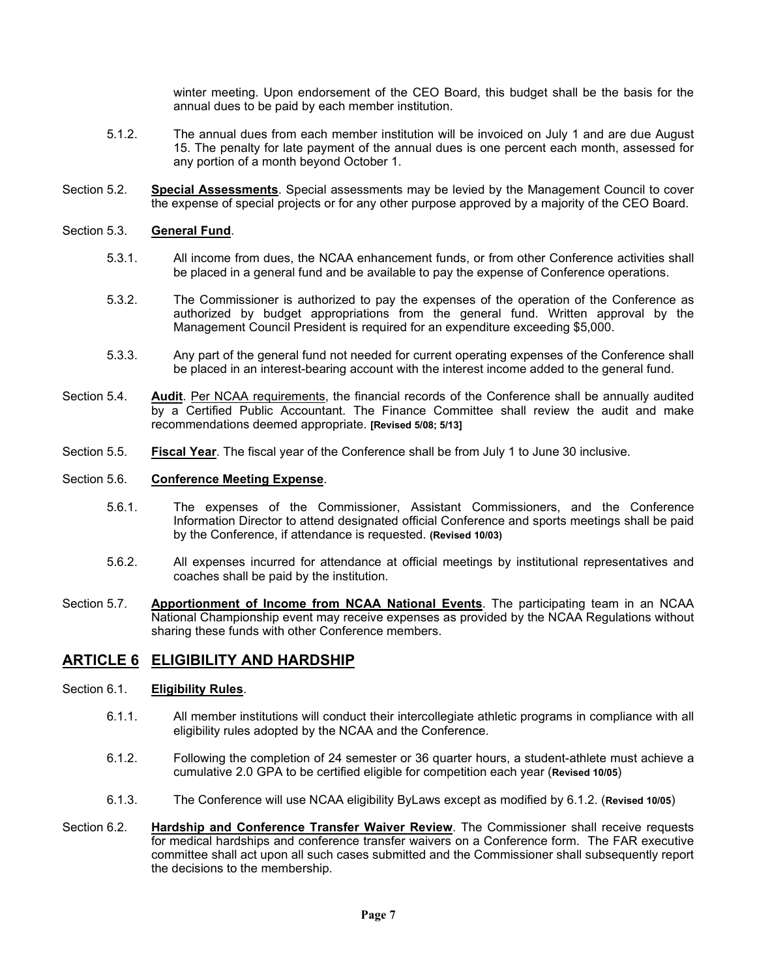winter meeting. Upon endorsement of the CEO Board, this budget shall be the basis for the annual dues to be paid by each member institution.

- 5.1.2. The annual dues from each member institution will be invoiced on July 1 and are due August 15. The penalty for late payment of the annual dues is one percent each month, assessed for any portion of a month beyond October 1.
- Section 5.2. **Special Assessments**. Special assessments may be levied by the Management Council to cover the expense of special projects or for any other purpose approved by a majority of the CEO Board.

#### Section 5.3. **General Fund**.

- 5.3.1. All income from dues, the NCAA enhancement funds, or from other Conference activities shall be placed in a general fund and be available to pay the expense of Conference operations.
- 5.3.2. The Commissioner is authorized to pay the expenses of the operation of the Conference as authorized by budget appropriations from the general fund. Written approval by the Management Council President is required for an expenditure exceeding \$5,000.
- 5.3.3. Any part of the general fund not needed for current operating expenses of the Conference shall be placed in an interest-bearing account with the interest income added to the general fund.
- Section 5.4. **Audit**. Per NCAA requirements, the financial records of the Conference shall be annually audited by a Certified Public Accountant. The Finance Committee shall review the audit and make recommendations deemed appropriate. **[Revised 5/08; 5/13]**
- Section 5.5. **Fiscal Year**. The fiscal year of the Conference shall be from July 1 to June 30 inclusive.

#### Section 5.6. **Conference Meeting Expense**.

- 5.6.1. The expenses of the Commissioner, Assistant Commissioners, and the Conference Information Director to attend designated official Conference and sports meetings shall be paid by the Conference, if attendance is requested. **(Revised 10/03)**
- 5.6.2. All expenses incurred for attendance at official meetings by institutional representatives and coaches shall be paid by the institution.
- Section 5.7. **Apportionment of Income from NCAA National Events**. The participating team in an NCAA National Championship event may receive expenses as provided by the NCAA Regulations without sharing these funds with other Conference members.

## **ARTICLE 6 ELIGIBILITY AND HARDSHIP**

#### Section 6.1. **Eligibility Rules**.

- 6.1.1. All member institutions will conduct their intercollegiate athletic programs in compliance with all eligibility rules adopted by the NCAA and the Conference.
- 6.1.2. Following the completion of 24 semester or 36 quarter hours, a student-athlete must achieve a cumulative 2.0 GPA to be certified eligible for competition each year (**Revised 10/05**)
- 6.1.3. The Conference will use NCAA eligibility ByLaws except as modified by 6.1.2. (**Revised 10/05**)
- Section 6.2. **Hardship and Conference Transfer Waiver Review**. The Commissioner shall receive requests for medical hardships and conference transfer waivers on a Conference form. The FAR executive committee shall act upon all such cases submitted and the Commissioner shall subsequently report the decisions to the membership.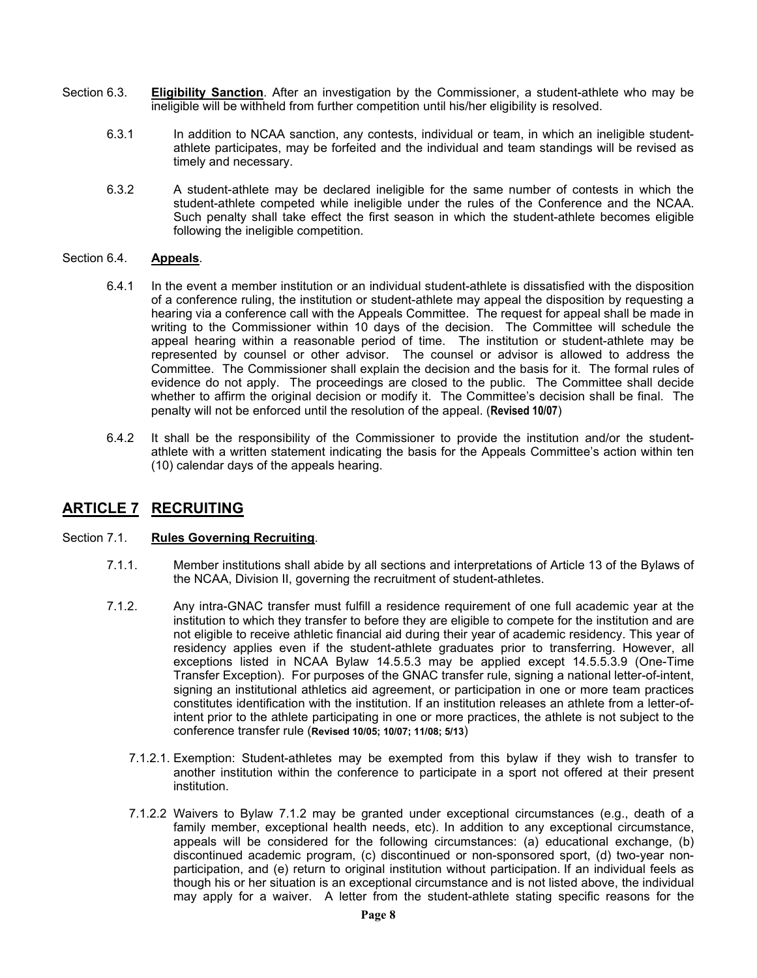- Section 6.3. **Eligibility Sanction**. After an investigation by the Commissioner, a student-athlete who may be ineligible will be withheld from further competition until his/her eligibility is resolved.
	- 6.3.1 In addition to NCAA sanction, any contests, individual or team, in which an ineligible studentathlete participates, may be forfeited and the individual and team standings will be revised as timely and necessary.
	- 6.3.2 A student-athlete may be declared ineligible for the same number of contests in which the student-athlete competed while ineligible under the rules of the Conference and the NCAA. Such penalty shall take effect the first season in which the student-athlete becomes eligible following the ineligible competition.

#### Section 6.4. **Appeals**.

- 6.4.1 In the event a member institution or an individual student-athlete is dissatisfied with the disposition of a conference ruling, the institution or student-athlete may appeal the disposition by requesting a hearing via a conference call with the Appeals Committee. The request for appeal shall be made in writing to the Commissioner within 10 days of the decision. The Committee will schedule the appeal hearing within a reasonable period of time. The institution or student-athlete may be represented by counsel or other advisor. The counsel or advisor is allowed to address the Committee. The Commissioner shall explain the decision and the basis for it. The formal rules of evidence do not apply. The proceedings are closed to the public. The Committee shall decide whether to affirm the original decision or modify it. The Committee's decision shall be final. The penalty will not be enforced until the resolution of the appeal. (**Revised 10/07**)
- 6.4.2 It shall be the responsibility of the Commissioner to provide the institution and/or the studentathlete with a written statement indicating the basis for the Appeals Committee's action within ten (10) calendar days of the appeals hearing.

## **ARTICLE 7 RECRUITING**

#### Section 7.1. **Rules Governing Recruiting**.

- 7.1.1. Member institutions shall abide by all sections and interpretations of Article 13 of the Bylaws of the NCAA, Division II, governing the recruitment of student-athletes.
- 7.1.2. Any intra-GNAC transfer must fulfill a residence requirement of one full academic year at the institution to which they transfer to before they are eligible to compete for the institution and are not eligible to receive athletic financial aid during their year of academic residency. This year of residency applies even if the student-athlete graduates prior to transferring. However, all exceptions listed in NCAA Bylaw 14.5.5.3 may be applied except 14.5.5.3.9 (One-Time Transfer Exception). For purposes of the GNAC transfer rule, signing a national letter-of-intent, signing an institutional athletics aid agreement, or participation in one or more team practices constitutes identification with the institution. If an institution releases an athlete from a letter-ofintent prior to the athlete participating in one or more practices, the athlete is not subject to the conference transfer rule (**Revised 10/05; 10/07; 11/08; 5/13**)
	- 7.1.2.1. Exemption: Student-athletes may be exempted from this bylaw if they wish to transfer to another institution within the conference to participate in a sport not offered at their present institution.
	- 7.1.2.2 Waivers to Bylaw 7.1.2 may be granted under exceptional circumstances (e.g., death of a family member, exceptional health needs, etc). In addition to any exceptional circumstance, appeals will be considered for the following circumstances: (a) educational exchange, (b) discontinued academic program, (c) discontinued or non-sponsored sport, (d) two-year nonparticipation, and (e) return to original institution without participation. If an individual feels as though his or her situation is an exceptional circumstance and is not listed above, the individual may apply for a waiver. A letter from the student-athlete stating specific reasons for the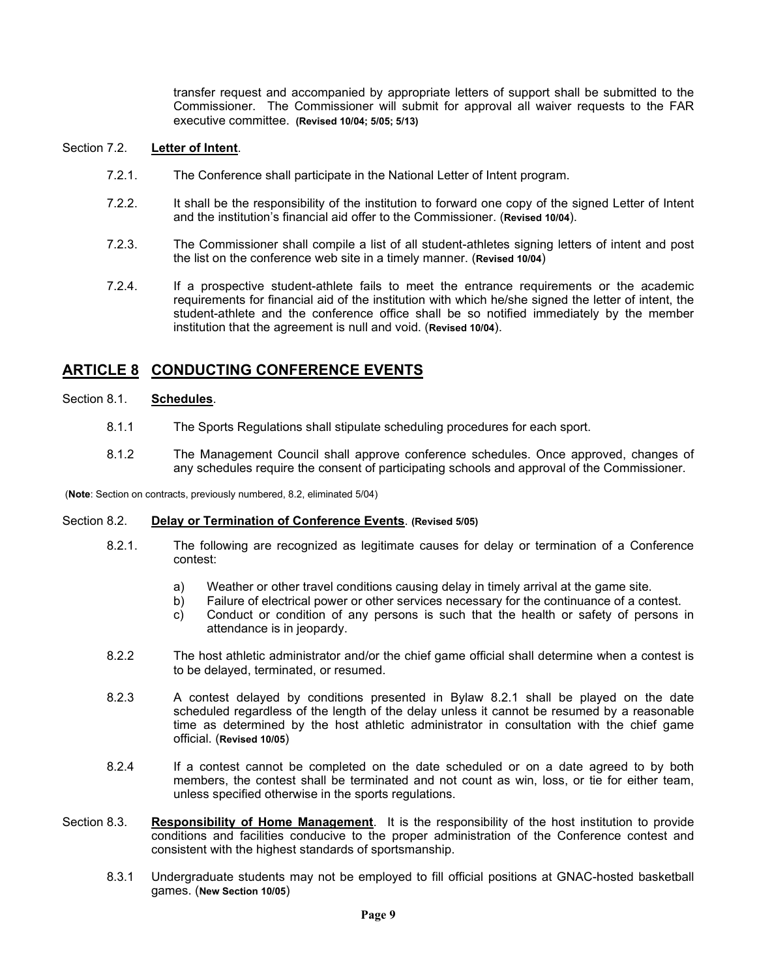transfer request and accompanied by appropriate letters of support shall be submitted to the Commissioner. The Commissioner will submit for approval all waiver requests to the FAR executive committee. **(Revised 10/04; 5/05; 5/13)**

#### Section 7.2. **Letter of Intent**.

- 7.2.1. The Conference shall participate in the National Letter of Intent program.
- 7.2.2. It shall be the responsibility of the institution to forward one copy of the signed Letter of Intent and the institution's financial aid offer to the Commissioner. (**Revised 10/04**).
- 7.2.3. The Commissioner shall compile a list of all student-athletes signing letters of intent and post the list on the conference web site in a timely manner. (**Revised 10/04**)
- 7.2.4. If a prospective student-athlete fails to meet the entrance requirements or the academic requirements for financial aid of the institution with which he/she signed the letter of intent, the student-athlete and the conference office shall be so notified immediately by the member institution that the agreement is null and void. (**Revised 10/04**).

## **ARTICLE 8 CONDUCTING CONFERENCE EVENTS**

#### Section 8.1. **Schedules**.

- 8.1.1 The Sports Regulations shall stipulate scheduling procedures for each sport.
- 8.1.2 The Management Council shall approve conference schedules. Once approved, changes of any schedules require the consent of participating schools and approval of the Commissioner.

(**Note**: Section on contracts, previously numbered, 8.2, eliminated 5/04)

#### Section 8.2. **Delay or Termination of Conference Events**. **(Revised 5/05)**

- 8.2.1. The following are recognized as legitimate causes for delay or termination of a Conference contest:
	- a) Weather or other travel conditions causing delay in timely arrival at the game site.<br>b) Failure of electrical power or other services necessary for the continuance of a cor
	- Failure of electrical power or other services necessary for the continuance of a contest.
	- c) Conduct or condition of any persons is such that the health or safety of persons in attendance is in jeopardy.
- 8.2.2 The host athletic administrator and/or the chief game official shall determine when a contest is to be delayed, terminated, or resumed.
- 8.2.3 A contest delayed by conditions presented in Bylaw 8.2.1 shall be played on the date scheduled regardless of the length of the delay unless it cannot be resumed by a reasonable time as determined by the host athletic administrator in consultation with the chief game official. (**Revised 10/05**)
- 8.2.4 If a contest cannot be completed on the date scheduled or on a date agreed to by both members, the contest shall be terminated and not count as win, loss, or tie for either team, unless specified otherwise in the sports regulations.
- Section 8.3. **Responsibility of Home Management**.It is the responsibility of the host institution to provide conditions and facilities conducive to the proper administration of the Conference contest and consistent with the highest standards of sportsmanship.
	- 8.3.1 Undergraduate students may not be employed to fill official positions at GNAC-hosted basketball games. (**New Section 10/05**)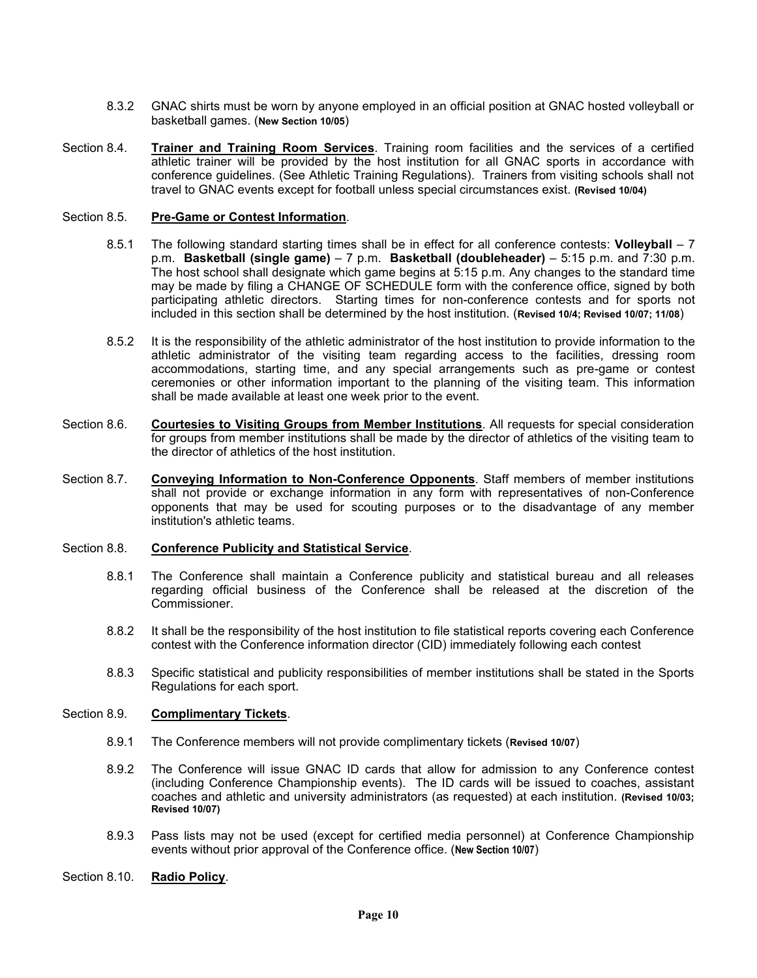- 8.3.2 GNAC shirts must be worn by anyone employed in an official position at GNAC hosted volleyball or basketball games. (**New Section 10/05**)
- Section 8.4. **Trainer and Training Room Services**. Training room facilities and the services of a certified athletic trainer will be provided by the host institution for all GNAC sports in accordance with conference guidelines. (See Athletic Training Regulations). Trainers from visiting schools shall not travel to GNAC events except for football unless special circumstances exist. **(Revised 10/04)**

#### Section 8.5. **Pre-Game or Contest Information**.

- 8.5.1 The following standard starting times shall be in effect for all conference contests: **Volleyball** 7 p.m. **Basketball (single game)** – 7 p.m. **Basketball (doubleheader)** – 5:15 p.m. and 7:30 p.m. The host school shall designate which game begins at 5:15 p.m. Any changes to the standard time may be made by filing a CHANGE OF SCHEDULE form with the conference office, signed by both participating athletic directors. Starting times for non-conference contests and for sports not included in this section shall be determined by the host institution. (**Revised 10/4; Revised 10/07; 11/08**)
- 8.5.2 It is the responsibility of the athletic administrator of the host institution to provide information to the athletic administrator of the visiting team regarding access to the facilities, dressing room accommodations, starting time, and any special arrangements such as pre-game or contest ceremonies or other information important to the planning of the visiting team. This information shall be made available at least one week prior to the event.
- Section 8.6. **Courtesies to Visiting Groups from Member Institutions**. All requests for special consideration for groups from member institutions shall be made by the director of athletics of the visiting team to the director of athletics of the host institution.
- Section 8.7. **Conveying Information to Non-Conference Opponents**. Staff members of member institutions shall not provide or exchange information in any form with representatives of non-Conference opponents that may be used for scouting purposes or to the disadvantage of any member institution's athletic teams.

#### Section 8.8. **Conference Publicity and Statistical Service**.

- 8.8.1 The Conference shall maintain a Conference publicity and statistical bureau and all releases regarding official business of the Conference shall be released at the discretion of the Commissioner.
- 8.8.2 It shall be the responsibility of the host institution to file statistical reports covering each Conference contest with the Conference information director (CID) immediately following each contest
- 8.8.3 Specific statistical and publicity responsibilities of member institutions shall be stated in the Sports Regulations for each sport.

#### Section 8.9. **Complimentary Tickets**.

- 8.9.1 The Conference members will not provide complimentary tickets (**Revised 10/07**)
- 8.9.2 The Conference will issue GNAC ID cards that allow for admission to any Conference contest (including Conference Championship events). The ID cards will be issued to coaches, assistant coaches and athletic and university administrators (as requested) at each institution. **(Revised 10/03; Revised 10/07)**
- 8.9.3 Pass lists may not be used (except for certified media personnel) at Conference Championship events without prior approval of the Conference office. (**New Section 10/07**)
- Section 8.10. **Radio Policy**.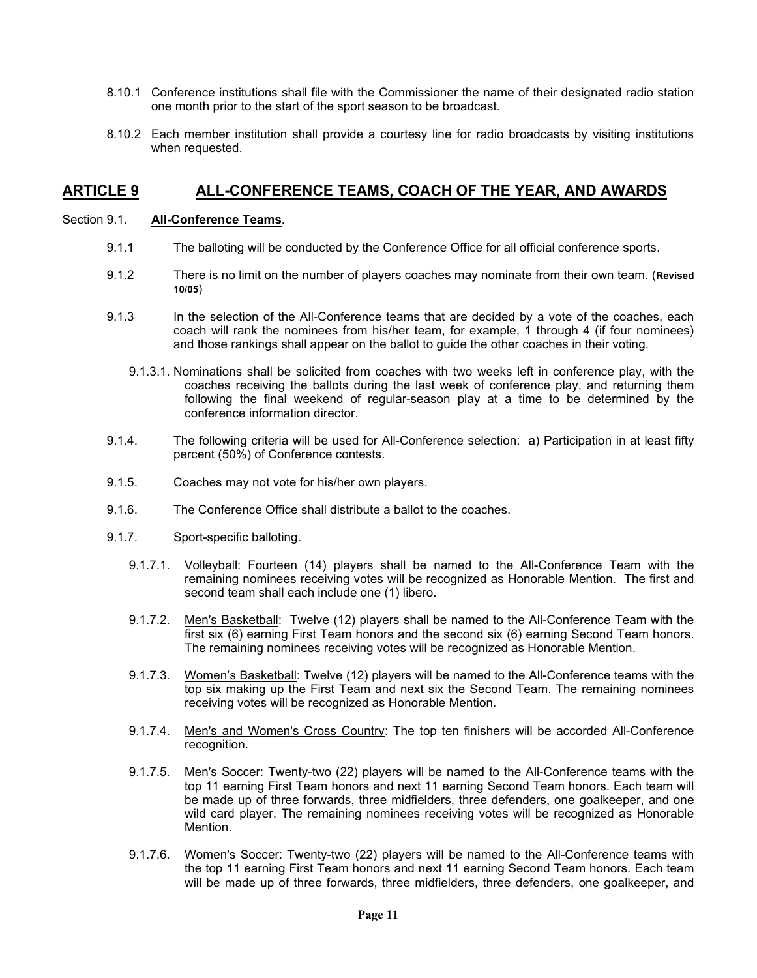- 8.10.1 Conference institutions shall file with the Commissioner the name of their designated radio station one month prior to the start of the sport season to be broadcast.
- 8.10.2 Each member institution shall provide a courtesy line for radio broadcasts by visiting institutions when requested.

## **ARTICLE 9 ALL-CONFERENCE TEAMS, COACH OF THE YEAR, AND AWARDS**

#### Section 9.1. **All-Conference Teams**.

- 9.1.1 The balloting will be conducted by the Conference Office for all official conference sports.
- 9.1.2 There is no limit on the number of players coaches may nominate from their own team. (**Revised 10/05**)
- 9.1.3 In the selection of the All-Conference teams that are decided by a vote of the coaches, each coach will rank the nominees from his/her team, for example, 1 through 4 (if four nominees) and those rankings shall appear on the ballot to guide the other coaches in their voting.
	- 9.1.3.1. Nominations shall be solicited from coaches with two weeks left in conference play, with the coaches receiving the ballots during the last week of conference play, and returning them following the final weekend of regular-season play at a time to be determined by the conference information director.
- 9.1.4. The following criteria will be used for All-Conference selection: a) Participation in at least fifty percent (50%) of Conference contests.
- 9.1.5. Coaches may not vote for his/her own players.
- 9.1.6. The Conference Office shall distribute a ballot to the coaches.
- 9.1.7. Sport-specific balloting.
	- 9.1.7.1. Volleyball: Fourteen (14) players shall be named to the All-Conference Team with the remaining nominees receiving votes will be recognized as Honorable Mention. The first and second team shall each include one (1) libero.
	- 9.1.7.2. Men's Basketball: Twelve (12) players shall be named to the All-Conference Team with the first six (6) earning First Team honors and the second six (6) earning Second Team honors. The remaining nominees receiving votes will be recognized as Honorable Mention.
	- 9.1.7.3. Women's Basketball: Twelve (12) players will be named to the All-Conference teams with the top six making up the First Team and next six the Second Team. The remaining nominees receiving votes will be recognized as Honorable Mention.
	- 9.1.7.4. Men's and Women's Cross Country: The top ten finishers will be accorded All-Conference recognition.
	- 9.1.7.5. Men's Soccer: Twenty-two (22) players will be named to the All-Conference teams with the top 11 earning First Team honors and next 11 earning Second Team honors. Each team will be made up of three forwards, three midfielders, three defenders, one goalkeeper, and one wild card player. The remaining nominees receiving votes will be recognized as Honorable Mention.
	- 9.1.7.6. Women's Soccer: Twenty-two (22) players will be named to the All-Conference teams with the top 11 earning First Team honors and next 11 earning Second Team honors. Each team will be made up of three forwards, three midfielders, three defenders, one goalkeeper, and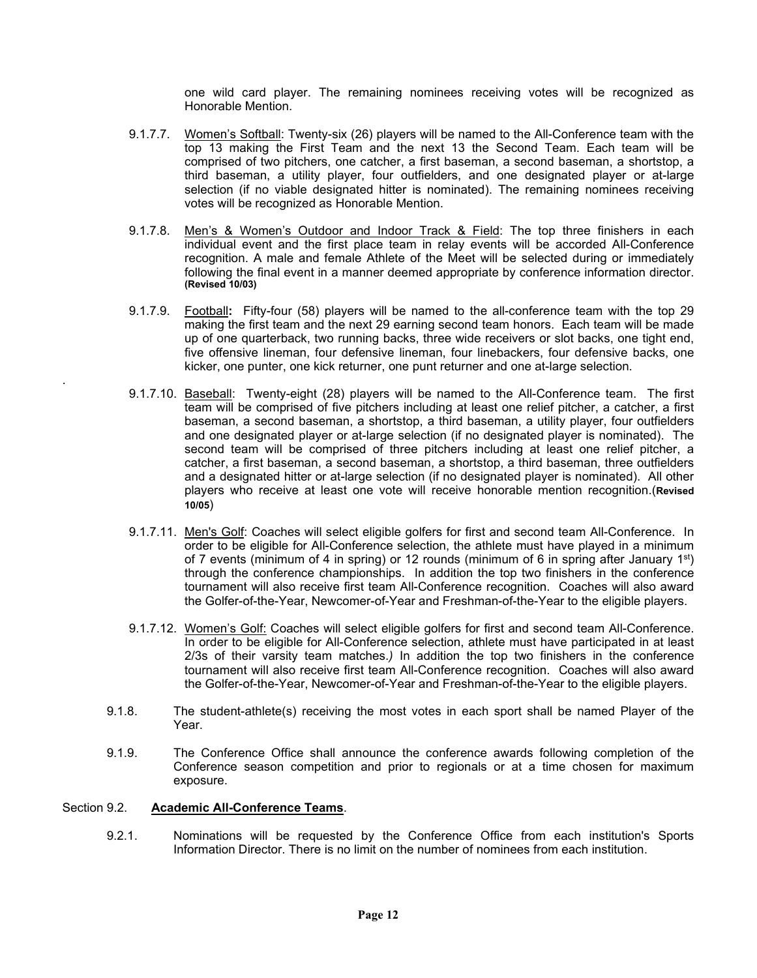one wild card player. The remaining nominees receiving votes will be recognized as Honorable Mention.

- 9.1.7.7. Women's Softball: Twenty-six (26) players will be named to the All-Conference team with the top 13 making the First Team and the next 13 the Second Team. Each team will be comprised of two pitchers, one catcher, a first baseman, a second baseman, a shortstop, a third baseman, a utility player, four outfielders, and one designated player or at-large selection (if no viable designated hitter is nominated). The remaining nominees receiving votes will be recognized as Honorable Mention.
- 9.1.7.8. Men's & Women's Outdoor and Indoor Track & Field: The top three finishers in each individual event and the first place team in relay events will be accorded All-Conference recognition. A male and female Athlete of the Meet will be selected during or immediately following the final event in a manner deemed appropriate by conference information director. **(Revised 10/03)**
- 9.1.7.9. Football**:** Fifty-four (58) players will be named to the all-conference team with the top 29 making the first team and the next 29 earning second team honors. Each team will be made up of one quarterback, two running backs, three wide receivers or slot backs, one tight end, five offensive lineman, four defensive lineman, four linebackers, four defensive backs, one kicker, one punter, one kick returner, one punt returner and one at-large selection.
- 9.1.7.10. Baseball: Twenty-eight (28) players will be named to the All-Conference team. The first team will be comprised of five pitchers including at least one relief pitcher, a catcher, a first baseman, a second baseman, a shortstop, a third baseman, a utility player, four outfielders and one designated player or at-large selection (if no designated player is nominated). The second team will be comprised of three pitchers including at least one relief pitcher, a catcher, a first baseman, a second baseman, a shortstop, a third baseman, three outfielders and a designated hitter or at-large selection (if no designated player is nominated). All other players who receive at least one vote will receive honorable mention recognition.(**Revised 10/05**)
- 9.1.7.11. Men's Golf: Coaches will select eligible golfers for first and second team All-Conference. In order to be eligible for All-Conference selection, the athlete must have played in a minimum of 7 events (minimum of 4 in spring) or 12 rounds (minimum of 6 in spring after January 1st) through the conference championships. In addition the top two finishers in the conference tournament will also receive first team All-Conference recognition. Coaches will also award the Golfer-of-the-Year, Newcomer-of-Year and Freshman-of-the-Year to the eligible players.
- 9.1.7.12. Women's Golf: Coaches will select eligible golfers for first and second team All-Conference. In order to be eligible for All-Conference selection, athlete must have participated in at least 2/3s of their varsity team matches.*)* In addition the top two finishers in the conference tournament will also receive first team All-Conference recognition. Coaches will also award the Golfer-of-the-Year, Newcomer-of-Year and Freshman-of-the-Year to the eligible players.
- 9.1.8. The student-athlete(s) receiving the most votes in each sport shall be named Player of the Year.
- 9.1.9. The Conference Office shall announce the conference awards following completion of the Conference season competition and prior to regionals or at a time chosen for maximum exposure.

#### Section 9.2. **Academic All-Conference Teams**.

.

9.2.1. Nominations will be requested by the Conference Office from each institution's Sports Information Director. There is no limit on the number of nominees from each institution.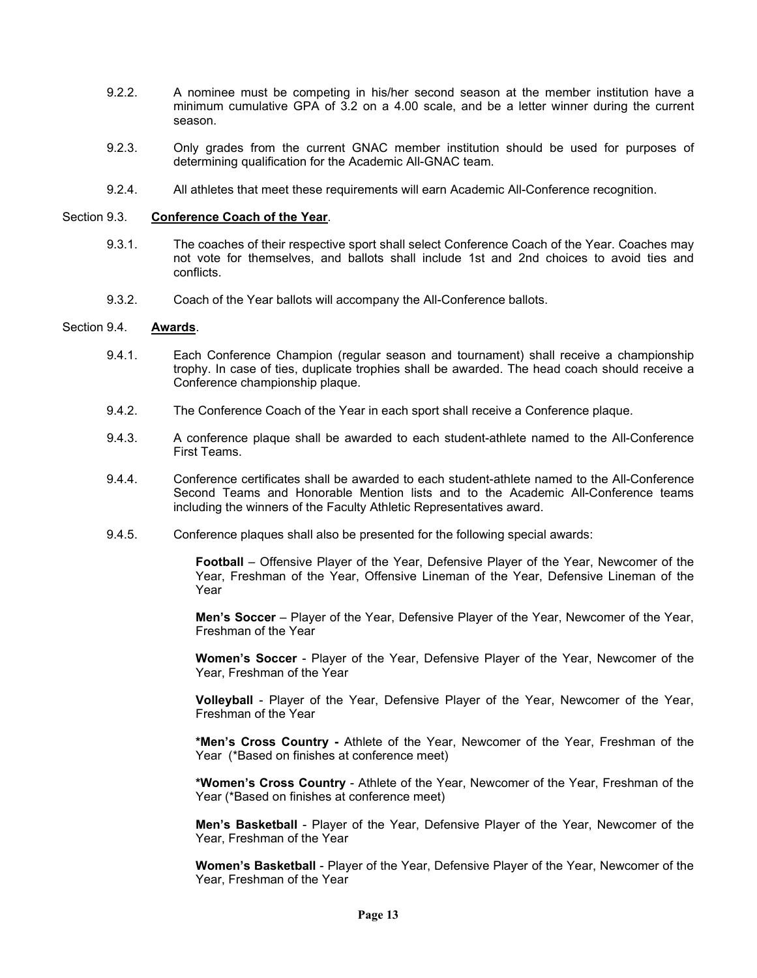- 9.2.2. A nominee must be competing in his/her second season at the member institution have a minimum cumulative GPA of 3.2 on a 4.00 scale, and be a letter winner during the current season.
- 9.2.3. Only grades from the current GNAC member institution should be used for purposes of determining qualification for the Academic All-GNAC team.
- 9.2.4. All athletes that meet these requirements will earn Academic All-Conference recognition.

#### Section 9.3. **Conference Coach of the Year**.

- 9.3.1. The coaches of their respective sport shall select Conference Coach of the Year. Coaches may not vote for themselves, and ballots shall include 1st and 2nd choices to avoid ties and conflicts.
- 9.3.2. Coach of the Year ballots will accompany the All-Conference ballots.

#### Section 9.4. **Awards**.

- 9.4.1. Each Conference Champion (regular season and tournament) shall receive a championship trophy. In case of ties, duplicate trophies shall be awarded. The head coach should receive a Conference championship plaque.
- 9.4.2. The Conference Coach of the Year in each sport shall receive a Conference plaque.
- 9.4.3. A conference plaque shall be awarded to each student-athlete named to the All-Conference First Teams.
- 9.4.4. Conference certificates shall be awarded to each student-athlete named to the All-Conference Second Teams and Honorable Mention lists and to the Academic All-Conference teams including the winners of the Faculty Athletic Representatives award.
- 9.4.5. Conference plaques shall also be presented for the following special awards:

**Football** – Offensive Player of the Year, Defensive Player of the Year, Newcomer of the Year, Freshman of the Year, Offensive Lineman of the Year, Defensive Lineman of the Year

**Men's Soccer** – Player of the Year, Defensive Player of the Year, Newcomer of the Year, Freshman of the Year

**Women's Soccer** - Player of the Year, Defensive Player of the Year, Newcomer of the Year, Freshman of the Year

**Volleyball** - Player of the Year, Defensive Player of the Year, Newcomer of the Year, Freshman of the Year

**\*Men's Cross Country -** Athlete of the Year, Newcomer of the Year, Freshman of the Year (\*Based on finishes at conference meet)

**\*Women's Cross Country** - Athlete of the Year, Newcomer of the Year, Freshman of the Year (\*Based on finishes at conference meet)

**Men's Basketball** - Player of the Year, Defensive Player of the Year, Newcomer of the Year, Freshman of the Year

**Women's Basketball** - Player of the Year, Defensive Player of the Year, Newcomer of the Year, Freshman of the Year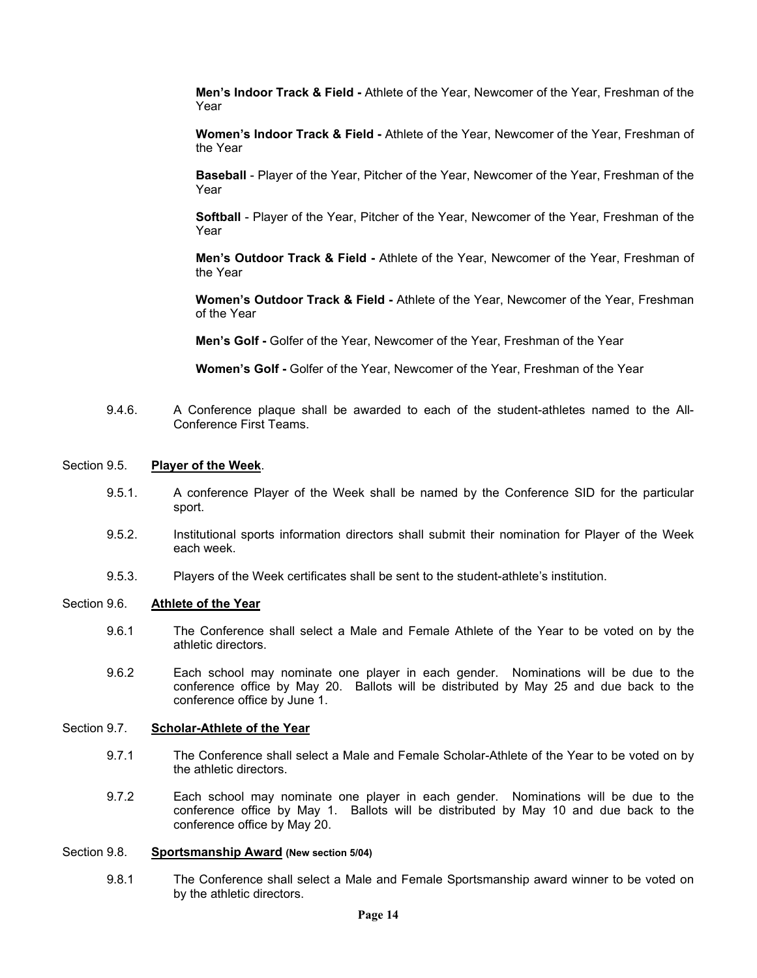**Men's Indoor Track & Field -** Athlete of the Year, Newcomer of the Year, Freshman of the Year

**Women's Indoor Track & Field -** Athlete of the Year, Newcomer of the Year, Freshman of the Year

**Baseball** - Player of the Year, Pitcher of the Year, Newcomer of the Year, Freshman of the Year

**Softball** - Player of the Year, Pitcher of the Year, Newcomer of the Year, Freshman of the Year

**Men's Outdoor Track & Field -** Athlete of the Year, Newcomer of the Year, Freshman of the Year

**Women's Outdoor Track & Field -** Athlete of the Year, Newcomer of the Year, Freshman of the Year

**Men's Golf -** Golfer of the Year, Newcomer of the Year, Freshman of the Year

**Women's Golf -** Golfer of the Year, Newcomer of the Year, Freshman of the Year

9.4.6. A Conference plaque shall be awarded to each of the student-athletes named to the All-Conference First Teams.

#### Section 9.5. **Player of the Week**.

- 9.5.1. A conference Player of the Week shall be named by the Conference SID for the particular sport.
- 9.5.2. Institutional sports information directors shall submit their nomination for Player of the Week each week.
- 9.5.3. Players of the Week certificates shall be sent to the student-athlete's institution.

#### Section 9.6. **Athlete of the Year**

- 9.6.1 The Conference shall select a Male and Female Athlete of the Year to be voted on by the athletic directors.
- 9.6.2 Each school may nominate one player in each gender. Nominations will be due to the conference office by May 20. Ballots will be distributed by May 25 and due back to the conference office by June 1.

#### Section 9.7. **Scholar-Athlete of the Year**

- 9.7.1 The Conference shall select a Male and Female Scholar-Athlete of the Year to be voted on by the athletic directors.
- 9.7.2 Each school may nominate one player in each gender. Nominations will be due to the conference office by May 1. Ballots will be distributed by May 10 and due back to the conference office by May 20.

#### Section 9.8. **Sportsmanship Award (New section 5/04)**

9.8.1 The Conference shall select a Male and Female Sportsmanship award winner to be voted on by the athletic directors.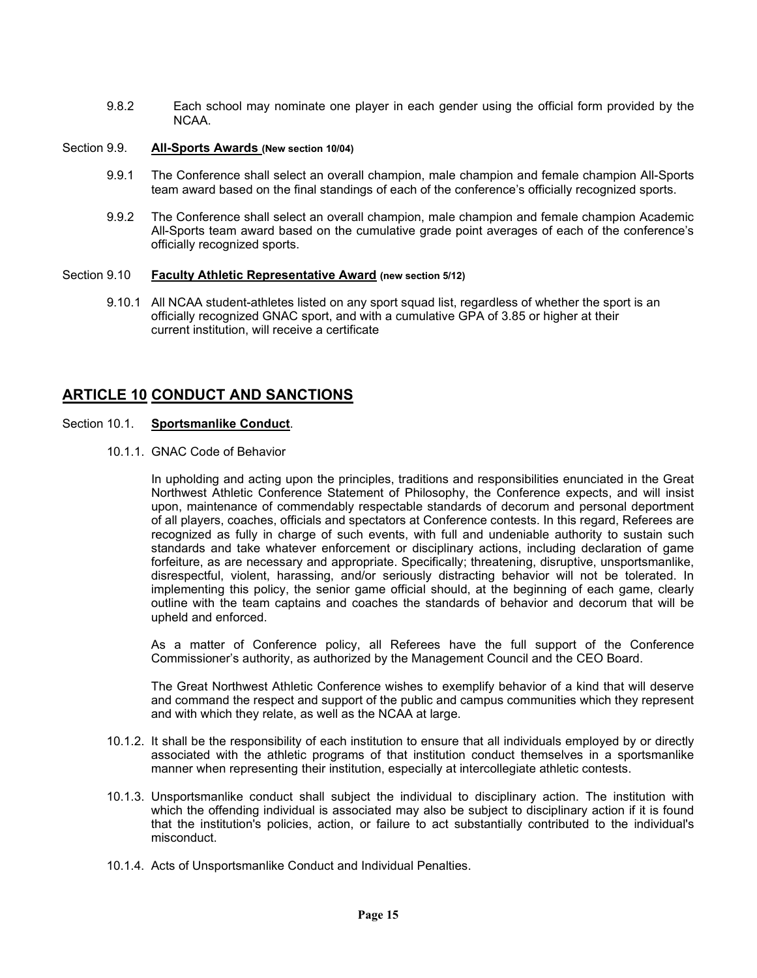9.8.2 Each school may nominate one player in each gender using the official form provided by the NCAA.

#### Section 9.9. **All-Sports Awards (New section 10/04)**

- 9.9.1 The Conference shall select an overall champion, male champion and female champion All-Sports team award based on the final standings of each of the conference's officially recognized sports.
- 9.9.2 The Conference shall select an overall champion, male champion and female champion Academic All-Sports team award based on the cumulative grade point averages of each of the conference's officially recognized sports.

#### Section 9.10 **Faculty Athletic Representative Award (new section 5/12)**

9.10.1 All NCAA student-athletes listed on any sport squad list, regardless of whether the sport is an officially recognized GNAC sport, and with a cumulative GPA of 3.85 or higher at their current institution, will receive a certificate

## **ARTICLE 10 CONDUCT AND SANCTIONS**

#### Section 10.1. **Sportsmanlike Conduct**.

10.1.1. GNAC Code of Behavior

In upholding and acting upon the principles, traditions and responsibilities enunciated in the Great Northwest Athletic Conference Statement of Philosophy, the Conference expects, and will insist upon, maintenance of commendably respectable standards of decorum and personal deportment of all players, coaches, officials and spectators at Conference contests. In this regard, Referees are recognized as fully in charge of such events, with full and undeniable authority to sustain such standards and take whatever enforcement or disciplinary actions, including declaration of game forfeiture, as are necessary and appropriate. Specifically; threatening, disruptive, unsportsmanlike, disrespectful, violent, harassing, and/or seriously distracting behavior will not be tolerated. In implementing this policy, the senior game official should, at the beginning of each game, clearly outline with the team captains and coaches the standards of behavior and decorum that will be upheld and enforced.

As a matter of Conference policy, all Referees have the full support of the Conference Commissioner's authority, as authorized by the Management Council and the CEO Board.

The Great Northwest Athletic Conference wishes to exemplify behavior of a kind that will deserve and command the respect and support of the public and campus communities which they represent and with which they relate, as well as the NCAA at large.

- 10.1.2. It shall be the responsibility of each institution to ensure that all individuals employed by or directly associated with the athletic programs of that institution conduct themselves in a sportsmanlike manner when representing their institution, especially at intercollegiate athletic contests.
- 10.1.3. Unsportsmanlike conduct shall subject the individual to disciplinary action. The institution with which the offending individual is associated may also be subject to disciplinary action if it is found that the institution's policies, action, or failure to act substantially contributed to the individual's misconduct.
- 10.1.4. Acts of Unsportsmanlike Conduct and Individual Penalties.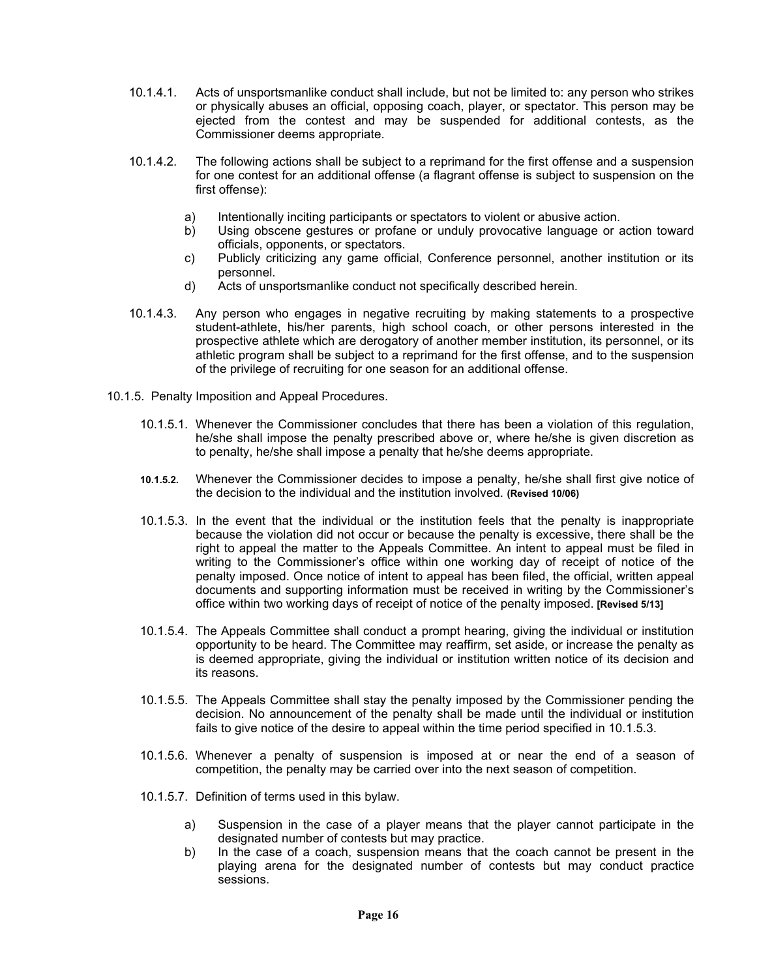- 10.1.4.1. Acts of unsportsmanlike conduct shall include, but not be limited to: any person who strikes or physically abuses an official, opposing coach, player, or spectator. This person may be ejected from the contest and may be suspended for additional contests, as the Commissioner deems appropriate.
- 10.1.4.2. The following actions shall be subject to a reprimand for the first offense and a suspension for one contest for an additional offense (a flagrant offense is subject to suspension on the first offense):
	- a) Intentionally inciting participants or spectators to violent or abusive action.
	- b) Using obscene gestures or profane or unduly provocative language or action toward officials, opponents, or spectators.
	- c) Publicly criticizing any game official, Conference personnel, another institution or its personnel.
	- d) Acts of unsportsmanlike conduct not specifically described herein.
- 10.1.4.3. Any person who engages in negative recruiting by making statements to a prospective student-athlete, his/her parents, high school coach, or other persons interested in the prospective athlete which are derogatory of another member institution, its personnel, or its athletic program shall be subject to a reprimand for the first offense, and to the suspension of the privilege of recruiting for one season for an additional offense.
- 10.1.5. Penalty Imposition and Appeal Procedures.
	- 10.1.5.1. Whenever the Commissioner concludes that there has been a violation of this regulation, he/she shall impose the penalty prescribed above or, where he/she is given discretion as to penalty, he/she shall impose a penalty that he/she deems appropriate.
	- **10.1.5.2.** Whenever the Commissioner decides to impose a penalty, he/she shall first give notice of the decision to the individual and the institution involved. **(Revised 10/06)**
	- 10.1.5.3. In the event that the individual or the institution feels that the penalty is inappropriate because the violation did not occur or because the penalty is excessive, there shall be the right to appeal the matter to the Appeals Committee. An intent to appeal must be filed in writing to the Commissioner's office within one working day of receipt of notice of the penalty imposed. Once notice of intent to appeal has been filed, the official, written appeal documents and supporting information must be received in writing by the Commissioner's office within two working days of receipt of notice of the penalty imposed. **[Revised 5/13]**
	- 10.1.5.4. The Appeals Committee shall conduct a prompt hearing, giving the individual or institution opportunity to be heard. The Committee may reaffirm, set aside, or increase the penalty as is deemed appropriate, giving the individual or institution written notice of its decision and its reasons.
	- 10.1.5.5. The Appeals Committee shall stay the penalty imposed by the Commissioner pending the decision. No announcement of the penalty shall be made until the individual or institution fails to give notice of the desire to appeal within the time period specified in 10.1.5.3.
	- 10.1.5.6. Whenever a penalty of suspension is imposed at or near the end of a season of competition, the penalty may be carried over into the next season of competition.
	- 10.1.5.7. Definition of terms used in this bylaw.
		- a) Suspension in the case of a player means that the player cannot participate in the designated number of contests but may practice.
		- b) In the case of a coach, suspension means that the coach cannot be present in the playing arena for the designated number of contests but may conduct practice sessions.